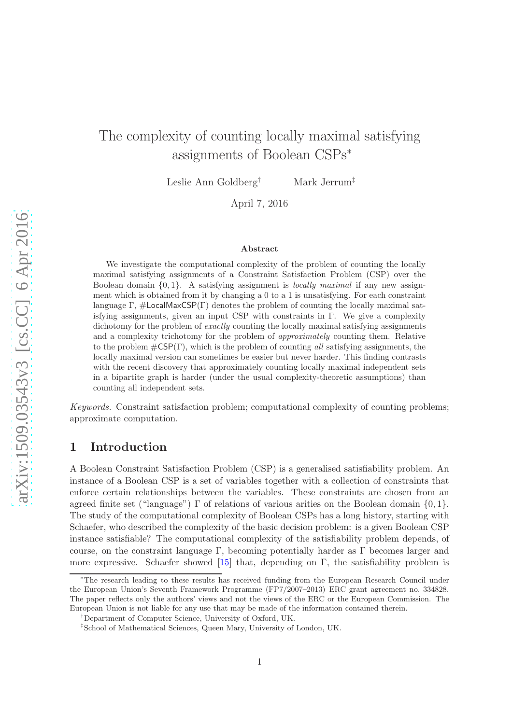# The complexity of counting locally maximal satisfying assignments of Boolean CSPs<sup>∗</sup>

Leslie Ann Goldberg† Mark Jerrum‡

April 7, 2016

#### Abstract

We investigate the computational complexity of the problem of counting the locally maximal satisfying assignments of a Constraint Satisfaction Problem (CSP) over the Boolean domain  $\{0, 1\}$ . A satisfying assignment is *locally maximal* if any new assignment which is obtained from it by changing a 0 to a 1 is unsatisfying. For each constraint language  $\Gamma$ ,  $\#$ LocalMaxCSP( $\Gamma$ ) denotes the problem of counting the locally maximal satisfying assignments, given an input CSP with constraints in  $\Gamma$ . We give a complexity dichotomy for the problem of *exactly* counting the locally maximal satisfying assignments and a complexity trichotomy for the problem of approximately counting them. Relative to the problem  $\#\text{CSP}(\Gamma)$ , which is the problem of counting all satisfying assignments, the locally maximal version can sometimes be easier but never harder. This finding contrasts with the recent discovery that approximately counting locally maximal independent sets in a bipartite graph is harder (under the usual complexity-theoretic assumptions) than counting all independent sets.

Keywords. Constraint satisfaction problem; computational complexity of counting problems; approximate computation.

### 1 Introduction

A Boolean Constraint Satisfaction Problem (CSP) is a generalised satisfiability problem. An instance of a Boolean CSP is a set of variables together with a collection of constraints that enforce certain relationships between the variables. These constraints are chosen from an agreed finite set ("language")  $\Gamma$  of relations of various arities on the Boolean domain  $\{0, 1\}$ . The study of the computational complexity of Boolean CSPs has a long history, starting with Schaefer, who described the complexity of the basic decision problem: is a given Boolean CSP instance satisfiable? The computational complexity of the satisfiability problem depends, of course, on the constraint language  $\Gamma$ , becoming potentially harder as  $\Gamma$  becomes larger and more expressive. Schaefer showed [\[15\]](#page-17-0) that, depending on  $\Gamma$ , the satisfiability problem is

<sup>∗</sup>The research leading to these results has received funding from the European Research Council under the European Union's Seventh Framework Programme (FP7/2007–2013) ERC grant agreement no. 334828. The paper reflects only the authors' views and not the views of the ERC or the European Commission. The European Union is not liable for any use that may be made of the information contained therein.

<sup>†</sup>Department of Computer Science, University of Oxford, UK.

<sup>‡</sup> School of Mathematical Sciences, Queen Mary, University of London, UK.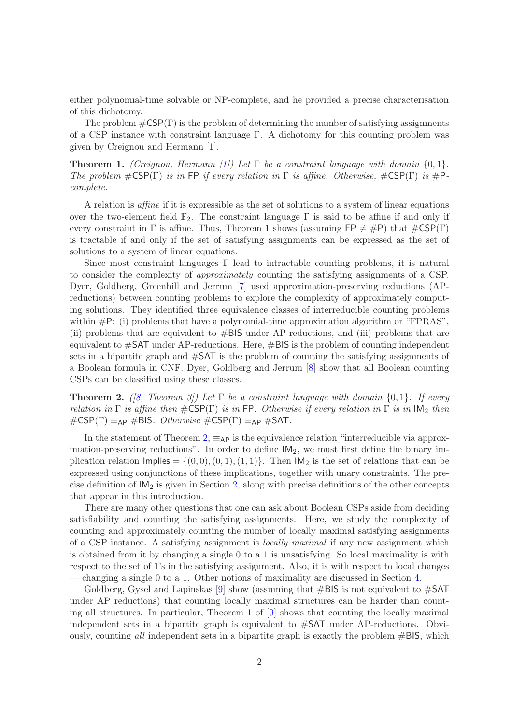either polynomial-time solvable or NP-complete, and he provided a precise characterisation of this dichotomy.

The problem  $\#\textsf{CSP}(\Gamma)$  is the problem of determining the number of satisfying assignments of a CSP instance with constraint language Γ. A dichotomy for this counting problem was given by Creignou and Hermann [\[1\]](#page-16-0).

<span id="page-1-0"></span>**Theorem 1.** (Creignou, Hermann [\[1\]](#page-16-0)) Let  $\Gamma$  be a constraint language with domain  $\{0, 1\}$ . The problem  $\#\text{CSP}(\Gamma)$  is in FP if every relation in  $\Gamma$  is affine. Otherwise,  $\#\text{CSP}(\Gamma)$  is  $\#\text{P-}$ complete.

A relation is affine if it is expressible as the set of solutions to a system of linear equations over the two-element field  $\mathbb{F}_2$ . The constraint language  $\Gamma$  is said to be affine if and only if every constraint in  $\Gamma$  is affine. Thus, Theorem [1](#page-1-0) shows (assuming  $\mathsf{FP} \neq \#P$ ) that  $\#\mathsf{CSP}(\Gamma)$ is tractable if and only if the set of satisfying assignments can be expressed as the set of solutions to a system of linear equations.

Since most constraint languages Γ lead to intractable counting problems, it is natural to consider the complexity of approximately counting the satisfying assignments of a CSP. Dyer, Goldberg, Greenhill and Jerrum [\[7\]](#page-17-1) used approximation-preserving reductions (APreductions) between counting problems to explore the complexity of approximately computing solutions. They identified three equivalence classes of interreducible counting problems within  $\#P$ : (i) problems that have a polynomial-time approximation algorithm or "FPRAS", (ii) problems that are equivalent to  $#BIS$  under AP-reductions, and (iii) problems that are equivalent to  $\#\text{SAT}$  under AP-reductions. Here,  $\#\text{BIS}$  is the problem of counting independent sets in a bipartite graph and #SAT is the problem of counting the satisfying assignments of a Boolean formula in CNF. Dyer, Goldberg and Jerrum [\[8\]](#page-17-2) show that all Boolean counting CSPs can be classified using these classes.

<span id="page-1-1"></span>**Theorem 2.** ([\[8,](#page-17-2) Theorem 3]) Let  $\Gamma$  be a constraint language with domain  $\{0,1\}$ . If every relation in  $\Gamma$  is affine then  $\#\text{CSP}(\Gamma)$  is in FP. Otherwise if every relation in  $\Gamma$  is in  $\text{IM}_2$  then  $\#\text{CSP}(\Gamma) \equiv_{\text{AP}} \#\text{BIS}.$  Otherwise  $\#\text{CSP}(\Gamma) \equiv_{\text{AP}} \#\text{SAT}.$ 

In the statement of Theorem [2,](#page-1-1)  $\equiv_{\mathsf{AP}}$  is the equivalence relation "interreducible via approximation-preserving reductions". In order to define  $IM<sub>2</sub>$ , we must first define the binary implication relation Implies =  $\{(0, 0), (0, 1), (1, 1)\}$ . Then IM<sub>2</sub> is the set of relations that can be expressed using conjunctions of these implications, together with unary constraints. The precise definition of  $IM<sub>2</sub>$  is given in Section [2,](#page-3-0) along with precise definitions of the other concepts that appear in this introduction.

There are many other questions that one can ask about Boolean CSPs aside from deciding satisfiability and counting the satisfying assignments. Here, we study the complexity of counting and approximately counting the number of locally maximal satisfying assignments of a CSP instance. A satisfying assignment is locally maximal if any new assignment which is obtained from it by changing a single 0 to a 1 is unsatisfying. So local maximality is with respect to the set of 1's in the satisfying assignment. Also, it is with respect to local changes — changing a single 0 to a 1. Other notions of maximality are discussed in Section [4.](#page-6-0)

Goldberg, Gysel and Lapinskas  $[9]$  show (assuming that  $\#BIS$  is not equivalent to  $\#SAT$ under AP reductions) that counting locally maximal structures can be harder than counting all structures. In particular, Theorem 1 of [\[9\]](#page-17-3) shows that counting the locally maximal independent sets in a bipartite graph is equivalent to #SAT under AP-reductions. Obviously, counting all independent sets in a bipartite graph is exactly the problem  $\#BIS$ , which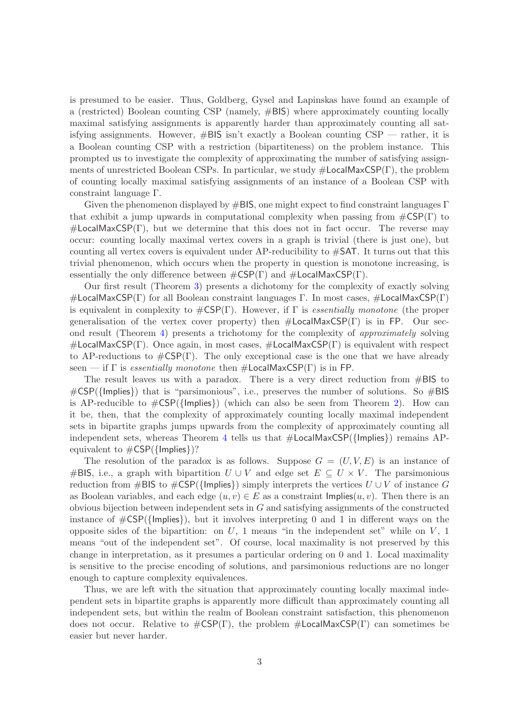is presumed to be easier. Thus, Goldberg, Gysel and Lapinskas have found an example of a (restricted) Boolean counting CSP (namely, #BIS) where approximately counting locally maximal satisfying assignments is apparently harder than approximately counting all satisfying assignments. However,  $\#BIS$  isn't exactly a Boolean counting  $CSP$  — rather, it is a Boolean counting CSP with a restriction (bipartiteness) on the problem instance. This prompted us to investigate the complexity of approximating the number of satisfying assignments of unrestricted Boolean CSPs. In particular, we study #LocalMaxCSP(Γ), the problem of counting locally maximal satisfying assignments of an instance of a Boolean CSP with constraint language Γ.

Given the phenomenon displayed by  $\#BIS$ , one might expect to find constraint languages  $\Gamma$ that exhibit a jump upwards in computational complexity when passing from  $\#\text{CSP}(\Gamma)$  to  $\#$ LocalMaxCSP(Γ), but we determine that this does not in fact occur. The reverse may occur: counting locally maximal vertex covers in a graph is trivial (there is just one), but counting all vertex covers is equivalent under  $AP$ -reducibility to  $\#SAT$ . It turns out that this trivial phenomenon, which occurs when the property in question is monotone increasing, is essentially the only difference between  $\#\textsf{CSP}(\Gamma)$  and  $\#\textsf{LocalMaxCSP}(\Gamma)$ .

Our first result (Theorem [3\)](#page-5-0) presents a dichotomy for the complexity of exactly solving #LocalMaxCSP(Γ) for all Boolean constraint languages Γ. In most cases,  $\#$ LocalMaxCSP(Γ) is equivalent in complexity to  $\#\text{CSP}(\Gamma)$ . However, if  $\Gamma$  is *essentially monotone* (the proper generalisation of the vertex cover property) then  $\#$ LocalMaxCSP(Γ) is in FP. Our second result (Theorem [4\)](#page-5-1) presents a trichotomy for the complexity of approximately solving  $\#$ LocalMaxCSP(Γ). Once again, in most cases,  $\#$ LocalMaxCSP(Γ) is equivalent with respect to AP-reductions to  $\#\text{CSP}(\Gamma)$ . The only exceptional case is the one that we have already seen — if  $\Gamma$  is *essentially monotone* then  $\#$ **LocalMaxCSP(** $\Gamma$ **)** is in FP.

The result leaves us with a paradox. There is a very direct reduction from #BIS to  $\#\textsf{CSP}(\{\textsf{Implies}\})$  that is "parsimonious", i.e., preserves the number of solutions. So  $\#\textsf{BIS}$ is AP-reducible to  $\#\text{CSP}(\{\text{Implies}\})$  (which can also be seen from Theorem [2\)](#page-1-1). How can it be, then, that the complexity of approximately counting locally maximal independent sets in bipartite graphs jumps upwards from the complexity of approximately counting all independent sets, whereas Theorem [4](#page-5-1) tells us that  $\#$ LocalMaxCSP({Implies}) remains APequivalent to  $\#\textsf{CSP}(\{\textsf{Implies}\})$ ?

The resolution of the paradox is as follows. Suppose  $G = (U, V, E)$  is an instance of #BIS, i.e., a graph with bipartition  $U \cup V$  and edge set  $E \subseteq U \times V$ . The parsimonious reduction from #BIS to  $\#\text{CSP}(\{\text{implies}\})$  simply interprets the vertices  $U \cup V$  of instance G as Boolean variables, and each edge  $(u, v) \in E$  as a constraint  $\text{Implies}(u, v)$ . Then there is an obvious bijection between independent sets in  $G$  and satisfying assignments of the constructed instance of  $\#\textsf{CSP}(\{\textsf{Implies}\}),$  but it involves interpreting 0 and 1 in different ways on the opposite sides of the bipartition: on  $U$ , 1 means "in the independent set" while on  $V$ , 1 means "out of the independent set". Of course, local maximality is not preserved by this change in interpretation, as it presumes a particular ordering on 0 and 1. Local maximality is sensitive to the precise encoding of solutions, and parsimonious reductions are no longer enough to capture complexity equivalences.

Thus, we are left with the situation that approximately counting locally maximal independent sets in bipartite graphs is apparently more difficult than approximately counting all independent sets, but within the realm of Boolean constraint satisfaction, this phenomenon does not occur. Relative to  $\#\text{CSP}(\Gamma)$ , the problem  $\#\text{LocalMaxCSP}(\Gamma)$  can sometimes be easier but never harder.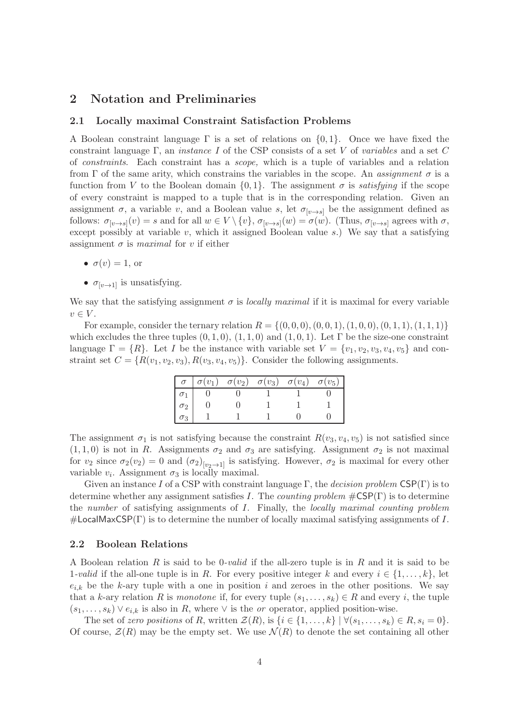# <span id="page-3-1"></span><span id="page-3-0"></span>2 Notation and Preliminaries

### 2.1 Locally maximal Constraint Satisfaction Problems

A Boolean constraint language  $\Gamma$  is a set of relations on  $\{0, 1\}$ . Once we have fixed the constraint language Γ, an *instance I* of the CSP consists of a set V of *variables* and a set C of constraints. Each constraint has a scope, which is a tuple of variables and a relation from  $\Gamma$  of the same arity, which constrains the variables in the scope. An assignment  $\sigma$  is a function from V to the Boolean domain  $\{0, 1\}$ . The assignment  $\sigma$  is *satisfying* if the scope of every constraint is mapped to a tuple that is in the corresponding relation. Given an assignment  $\sigma$ , a variable v, and a Boolean value s, let  $\sigma_{[\nu \to s]}$  be the assignment defined as follows:  $\sigma_{[v\to s]}(v) = s$  and for all  $w \in V \setminus \{v\}$ ,  $\sigma_{[v\to s]}(w) = \sigma(w)$ . (Thus,  $\sigma_{[v\to s]}$  agrees with  $\sigma$ , except possibly at variable  $v$ , which it assigned Boolean value  $s$ .) We say that a satisfying assignment  $\sigma$  is maximal for v if either

- $\sigma(v) = 1$ , or
- $\sigma_{\lbrack v \rightarrow 1\rbrack}$  is unsatisfying.

We say that the satisfying assignment  $\sigma$  is *locally maximal* if it is maximal for every variable  $v \in V$ .

For example, consider the ternary relation  $R = \{(0, 0, 0), (0, 0, 1), (1, 0, 0), (0, 1, 1), (1, 1, 1)\}\$ which excludes the three tuples  $(0, 1, 0)$ ,  $(1, 1, 0)$  and  $(1, 0, 1)$ . Let  $\Gamma$  be the size-one constraint language  $\Gamma = \{R\}$ . Let I be the instance with variable set  $V = \{v_1, v_2, v_3, v_4, v_5\}$  and constraint set  $C = \{R(v_1, v_2, v_3), R(v_3, v_4, v_5)\}\.$  Consider the following assignments.

| $\sigma^{-1}$ |  | $\sigma(v_1) \quad \sigma(v_2) \quad \sigma(v_3) \quad \sigma(v_4)$ | $\sigma(v_5)$ |
|---------------|--|---------------------------------------------------------------------|---------------|
|               |  |                                                                     |               |
| $\sigma_2$    |  |                                                                     |               |
| $\sigma_3$    |  |                                                                     |               |

The assignment  $\sigma_1$  is not satisfying because the constraint  $R(v_3, v_4, v_5)$  is not satisfied since  $(1, 1, 0)$  is not in R. Assignments  $\sigma_2$  and  $\sigma_3$  are satisfying. Assignment  $\sigma_2$  is not maximal for  $v_2$  since  $\sigma_2(v_2) = 0$  and  $(\sigma_2)_{[v_2 \to 1]}$  is satisfying. However,  $\sigma_2$  is maximal for every other variable  $v_i$ . Assignment  $\sigma_3$  is locally maximal.

Given an instance I of a CSP with constraint language  $\Gamma$ , the decision problem  $CSP(\Gamma)$  is to determine whether any assignment satisfies I. The counting problem  $\#\text{CSP}(\Gamma)$  is to determine the number of satisfying assignments of I. Finally, the locally maximal counting problem  $\#$ LocalMaxCSP(Γ) is to determine the number of locally maximal satisfying assignments of I.

### <span id="page-3-2"></span>2.2 Boolean Relations

A Boolean relation R is said to be 0-valid if the all-zero tuple is in R and it is said to be 1-valid if the all-one tuple is in R. For every positive integer k and every  $i \in \{1, \ldots, k\}$ , let  $e_{i,k}$  be the k-ary tuple with a one in position i and zeroes in the other positions. We say that a k-ary relation R is monotone if, for every tuple  $(s_1, \ldots, s_k) \in R$  and every i, the tuple  $(s_1, \ldots, s_k) \vee e_{i,k}$  is also in R, where  $\vee$  is the *or* operator, applied position-wise.

The set of zero positions of R, written  $\mathcal{Z}(R)$ , is  $\{i \in \{1, \ldots, k\} \mid \forall (s_1, \ldots, s_k) \in R, s_i = 0\}.$ Of course,  $\mathcal{Z}(R)$  may be the empty set. We use  $\mathcal{N}(R)$  to denote the set containing all other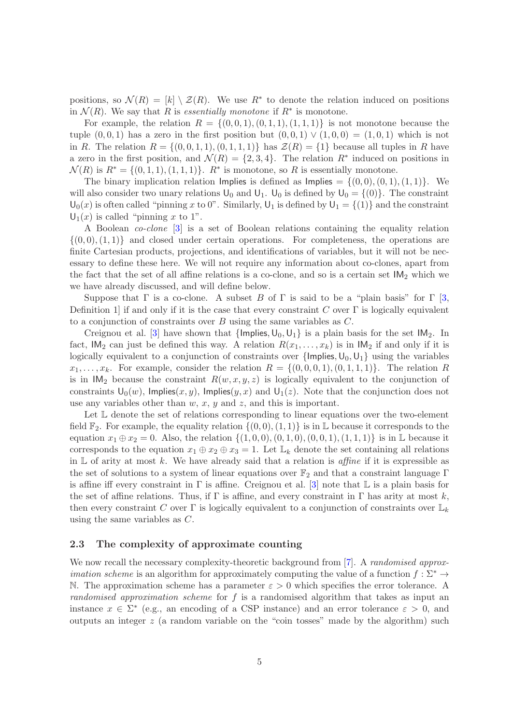positions, so  $\mathcal{N}(R) = [k] \setminus \mathcal{Z}(R)$ . We use  $R^*$  to denote the relation induced on positions in  $\mathcal{N}(R)$ . We say that R is essentially monotone if  $R^*$  is monotone.

For example, the relation  $R = \{(0, 0, 1), (0, 1, 1), (1, 1, 1)\}\$ is not monotone because the tuple  $(0, 0, 1)$  has a zero in the first position but  $(0, 0, 1) \vee (1, 0, 0) = (1, 0, 1)$  which is not in R. The relation  $R = \{(0, 0, 1, 1), (0, 1, 1, 1)\}\$  has  $\mathcal{Z}(R) = \{1\}$  because all tuples in R have a zero in the first position, and  $\mathcal{N}(R) = \{2, 3, 4\}$ . The relation  $R^*$  induced on positions in  $\mathcal{N}(R)$  is  $R^* = \{(0,1,1), (1,1,1)\}\$ .  $R^*$  is monotone, so R is essentially monotone.

The binary implication relation Implies is defined as Implies  $= \{(0,0), (0,1), (1,1)\}.$  We will also consider two unary relations  $\mathsf{U}_0$  and  $\mathsf{U}_1$ .  $\mathsf{U}_0$  is defined by  $\mathsf{U}_0 = \{(0)\}\$ . The constraint  $U_0(x)$  is often called "pinning x to 0". Similarly,  $U_1$  is defined by  $U_1 = \{(1)\}\$ and the constraint  $U_1(x)$  is called "pinning x to 1".

A Boolean co-clone [\[3\]](#page-17-4) is a set of Boolean relations containing the equality relation  $\{(0,0), (1,1)\}\$  and closed under certain operations. For completeness, the operations are finite Cartesian products, projections, and identifications of variables, but it will not be necessary to define these here. We will not require any information about co-clones, apart from the fact that the set of all affine relations is a co-clone, and so is a certain set  $IM_2$  which we we have already discussed, and will define below.

Suppose that  $\Gamma$  is a co-clone. A subset B of  $\Gamma$  is said to be a "plain basis" for  $\Gamma$  [\[3,](#page-17-4) Definition 1 if and only if it is the case that every constraint C over  $\Gamma$  is logically equivalent to a conjunction of constraints over  $B$  using the same variables as  $C$ .

Creignou et al. [\[3\]](#page-17-4) have shown that  $\{Implies, U_0, U_1\}$  is a plain basis for the set  $IM_2$ . In fact,  $IM_2$  can just be defined this way. A relation  $R(x_1, \ldots, x_k)$  is in  $IM_2$  if and only if it is logically equivalent to a conjunction of constraints over  $\{\text{Implies}, U_0, U_1\}$  using the variables  $x_1, \ldots, x_k$ . For example, consider the relation  $R = \{(0, 0, 0, 1), (0, 1, 1, 1)\}\.$  The relation R is in  $IM_2$  because the constraint  $R(w, x, y, z)$  is logically equivalent to the conjunction of constraints  $U_0(w)$ , Implies $(x, y)$ , Implies $(y, x)$  and  $U_1(z)$ . Note that the conjunction does not use any variables other than  $w, x, y$  and  $z$ , and this is important.

Let  $\mathbb L$  denote the set of relations corresponding to linear equations over the two-element field  $\mathbb{F}_2$ . For example, the equality relation  $\{(0,0),(1,1)\}\$ is in L because it corresponds to the equation  $x_1 \oplus x_2 = 0$ . Also, the relation  $\{(1, 0, 0), (0, 1, 0), (0, 0, 1), (1, 1, 1)\}\$ is in L because it corresponds to the equation  $x_1 \oplus x_2 \oplus x_3 = 1$ . Let  $\mathbb{L}_k$  denote the set containing all relations in  $\mathbb L$  of arity at most k. We have already said that a relation is *affine* if it is expressible as the set of solutions to a system of linear equations over  $\mathbb{F}_2$  and that a constraint language Γ is affine iff every constraint in  $\Gamma$  is affine. Creignou et al. [\[3\]](#page-17-4) note that  $\mathbb L$  is a plain basis for the set of affine relations. Thus, if  $\Gamma$  is affine, and every constraint in  $\Gamma$  has arity at most k, then every constraint C over  $\Gamma$  is logically equivalent to a conjunction of constraints over  $\mathbb{L}_k$ using the same variables as C.

### 2.3 The complexity of approximate counting

We now recall the necessary complexity-theoretic background from [\[7\]](#page-17-1). A *randomised approximation scheme* is an algorithm for approximately computing the value of a function  $f : \Sigma^* \to$ N. The approximation scheme has a parameter  $\varepsilon > 0$  which specifies the error tolerance. A randomised approximation scheme for f is a randomised algorithm that takes as input an instance  $x \in \Sigma^*$  (e.g., an encoding of a CSP instance) and an error tolerance  $\varepsilon > 0$ , and outputs an integer  $z$  (a random variable on the "coin tosses" made by the algorithm) such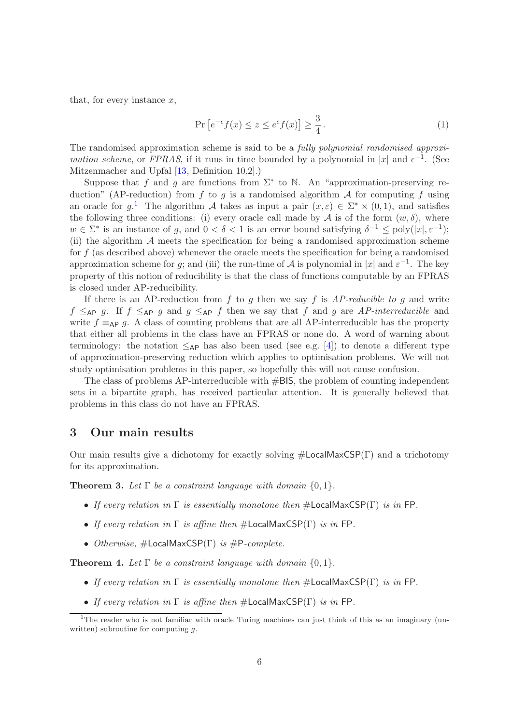that, for every instance  $x$ ,

$$
\Pr\left[e^{-\epsilon}f(x)\leq z\leq e^{\epsilon}f(x)\right]\geq \frac{3}{4}.
$$
\n(1)

The randomised approximation scheme is said to be a fully polynomial randomised approximation scheme, or FPRAS, if it runs in time bounded by a polynomial in |x| and  $\epsilon^{-1}$ . (See Mitzenmacher and Upfal [\[13,](#page-17-5) Definition 10.2].)

Suppose that f and g are functions from  $\Sigma^*$  to N. An "approximation-preserving reduction" (AP-reduction) from f to g is a randomised algorithm  $A$  for computing f using an oracle for  $g^{1}$  $g^{1}$  $g^{1}$ . The algorithm A takes as input a pair  $(x,\varepsilon) \in \Sigma^* \times (0,1)$ , and satisfies the following three conditions: (i) every oracle call made by A is of the form  $(w, \delta)$ , where  $w \in \Sigma^*$  is an instance of g, and  $0 < \delta < 1$  is an error bound satisfying  $\delta^{-1} \leq \text{poly}(|x|, \varepsilon^{-1})$ ; (ii) the algorithm  $A$  meets the specification for being a randomised approximation scheme for  $f$  (as described above) whenever the oracle meets the specification for being a randomised approximation scheme for g; and (iii) the run-time of  $A$  is polynomial in |x| and  $\varepsilon^{-1}$ . The key property of this notion of reducibility is that the class of functions computable by an FPRAS is closed under AP-reducibility.

If there is an AP-reduction from  $f$  to  $g$  then we say  $f$  is  $AP$ -reducible to  $g$  and write  $f \leq_{\sf AP} g$ . If  $f \leq_{\sf AP} g$  and  $g \leq_{\sf AP} f$  then we say that f and g are AP-interreducible and write  $f \equiv_{\sf AP} q$ . A class of counting problems that are all AP-interreducible has the property that either all problems in the class have an FPRAS or none do. A word of warning about terminology: the notation  $\leq_{\sf AP}$  has also been used (see e.g. [\[4\]](#page-17-6)) to denote a different type of approximation-preserving reduction which applies to optimisation problems. We will not study optimisation problems in this paper, so hopefully this will not cause confusion.

The class of problems AP-interreducible with #BIS, the problem of counting independent sets in a bipartite graph, has received particular attention. It is generally believed that problems in this class do not have an FPRAS.

### 3 Our main results

Our main results give a dichotomy for exactly solving  $\#$ **LocalMaxCSP(Γ)** and a trichotomy for its approximation.

<span id="page-5-0"></span>**Theorem 3.** Let  $\Gamma$  be a constraint language with domain  $\{0, 1\}$ .

- If every relation in  $\Gamma$  is essentially monotone then  $\#$ LocalMaxCSP( $\Gamma$ ) is in FP.
- If every relation in  $\Gamma$  is affine then  $\#$ LocalMaxCSP( $\Gamma$ ) is in FP.
- Otherwise,  $\#$ LocalMaxCSP(Γ) is  $\#$ P-complete.

<span id="page-5-1"></span>**Theorem 4.** Let  $\Gamma$  be a constraint language with domain  $\{0, 1\}$ .

- If every relation in  $\Gamma$  is essentially monotone then  $\#$ LocalMaxCSP( $\Gamma$ ) is in FP.
- If every relation in  $\Gamma$  is affine then  $\#$ LocalMaxCSP( $\Gamma$ ) is in FP.

<span id="page-5-2"></span><sup>&</sup>lt;sup>1</sup>The reader who is not familiar with oracle Turing machines can just think of this as an imaginary (unwritten) subroutine for computing  $q$ .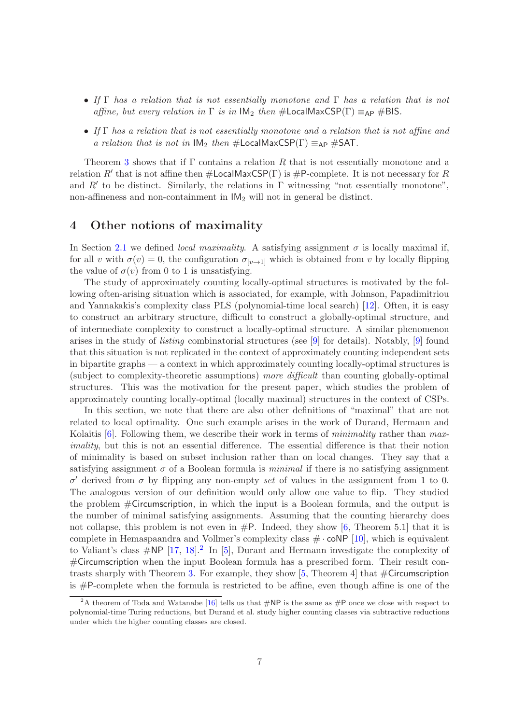- If  $\Gamma$  has a relation that is not essentially monotone and  $\Gamma$  has a relation that is not affine, but every relation in  $\Gamma$  is in  $IM_2$  then  $\# LocalMaxCSP(\Gamma) \equiv_{AP} \# BIS$ .
- If Γ has a relation that is not essentially monotone and a relation that is not affine and a relation that is not in  $IM_2$  then  $\#$ LocalMaxCSP(Γ)  $\equiv_{AP}$   $\#SAT$ .

Theorem [3](#page-5-0) shows that if  $\Gamma$  contains a relation R that is not essentially monotone and a relation R' that is not affine then  $\#$ LocalMaxCSP( $\Gamma$ ) is  $\#$ P-complete. It is not necessary for R and  $R'$  to be distinct. Similarly, the relations in  $\Gamma$  witnessing "not essentially monotone", non-affineness and non-containment in  $IM<sub>2</sub>$  will not in general be distinct.

### <span id="page-6-0"></span>4 Other notions of maximality

In Section [2.1](#page-3-1) we defined *local maximality*. A satisfying assignment  $\sigma$  is locally maximal if, for all v with  $\sigma(v) = 0$ , the configuration  $\sigma_{[v \to 1]}$  which is obtained from v by locally flipping the value of  $\sigma(v)$  from 0 to 1 is unsatisfying.

The study of approximately counting locally-optimal structures is motivated by the following often-arising situation which is associated, for example, with Johnson, Papadimitriou and Yannakakis's complexity class PLS (polynomial-time local search) [\[12\]](#page-17-7). Often, it is easy to construct an arbitrary structure, difficult to construct a globally-optimal structure, and of intermediate complexity to construct a locally-optimal structure. A similar phenomenon arises in the study of listing combinatorial structures (see [\[9\]](#page-17-3) for details). Notably, [\[9\]](#page-17-3) found that this situation is not replicated in the context of approximately counting independent sets in bipartite graphs — a context in which approximately counting locally-optimal structures is (subject to complexity-theoretic assumptions) more difficult than counting globally-optimal structures. This was the motivation for the present paper, which studies the problem of approximately counting locally-optimal (locally maximal) structures in the context of CSPs.

In this section, we note that there are also other definitions of "maximal" that are not related to local optimality. One such example arises in the work of Durand, Hermann and Kolaitis  $[6]$ . Following them, we describe their work in terms of *minimality* rather than maximality, but this is not an essential difference. The essential difference is that their notion of minimality is based on subset inclusion rather than on local changes. They say that a satisfying assignment  $\sigma$  of a Boolean formula is *minimal* if there is no satisfying assignment  $σ'$  derived from  $σ$  by flipping any non-empty set of values in the assignment from 1 to 0. The analogous version of our definition would only allow one value to flip. They studied the problem #Circumscription, in which the input is a Boolean formula, and the output is the number of minimal satisfying assignments. Assuming that the counting hierarchy does not collapse, this problem is not even in  $\#P$ . Indeed, they show [\[6,](#page-17-8) Theorem 5.1] that it is complete in Hemaspaandra and Vollmer's complexity class  $\# \cdot \text{coNP}$  [\[10\]](#page-17-9), which is equivalent to Valiant's class  $\#\text{NP}$  [\[17,](#page-18-0) [18\]](#page-18-1).<sup>[2](#page-6-1)</sup> In [\[5\]](#page-17-10), Durant and Hermann investigate the complexity of #Circumscription when the input Boolean formula has a prescribed form. Their result con-trasts sharply with Theorem [3.](#page-5-0) For example, they show  $[5,$  Theorem 4 that  $\#$ Circumscription is #P-complete when the formula is restricted to be affine, even though affine is one of the

<span id="page-6-1"></span><sup>&</sup>lt;sup>2</sup>A theorem of Toda and Watanabe [\[16\]](#page-17-11) tells us that  $\#NP$  is the same as  $\#P$  once we close with respect to polynomial-time Turing reductions, but Durand et al. study higher counting classes via subtractive reductions under which the higher counting classes are closed.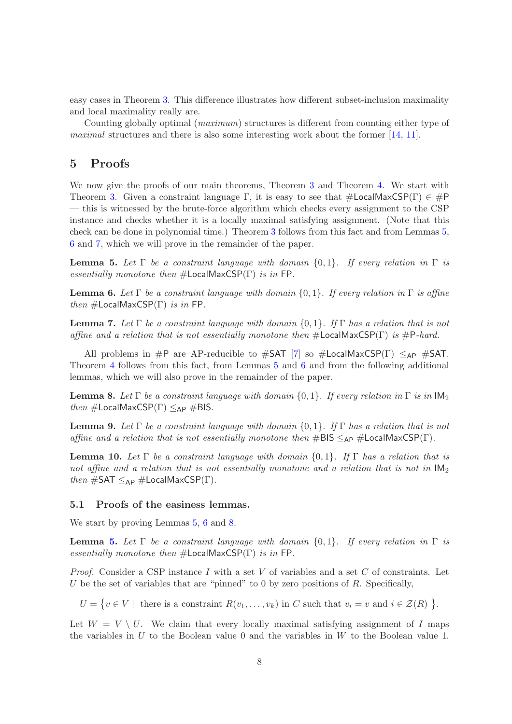easy cases in Theorem [3.](#page-5-0) This difference illustrates how different subset-inclusion maximality and local maximality really are.

Counting globally optimal (maximum) structures is different from counting either type of maximal structures and there is also some interesting work about the former [\[14,](#page-17-12) [11\]](#page-17-13).

# 5 Proofs

We now give the proofs of our main theorems, Theorem [3](#page-5-0) and Theorem [4.](#page-5-1) We start with Theorem [3.](#page-5-0) Given a constraint language Γ, it is easy to see that  $\#$ LocalMaxCSP(Γ)  $\in \#$ P — this is witnessed by the brute-force algorithm which checks every assignment to the CSP instance and checks whether it is a locally maximal satisfying assignment. (Note that this check can be done in polynomial time.) Theorem [3](#page-5-0) follows from this fact and from Lemmas [5,](#page-7-0) [6](#page-7-1) and [7,](#page-7-2) which we will prove in the remainder of the paper.

<span id="page-7-0"></span>**Lemma 5.** Let  $\Gamma$  be a constraint language with domain  $\{0, 1\}$ . If every relation in  $\Gamma$  is essentially monotone then  $\#$ LocalMaxCSP(Γ) is in FP.

<span id="page-7-1"></span>**Lemma 6.** Let  $\Gamma$  be a constraint language with domain  $\{0,1\}$ . If every relation in  $\Gamma$  is affine then  $\#$ LocalMaxCSP(Γ) is in FP.

<span id="page-7-2"></span>**Lemma 7.** Let  $\Gamma$  be a constraint language with domain  $\{0, 1\}$ . If  $\Gamma$  has a relation that is not affine and a relation that is not essentially monotone then  $\#$ **LocalMaxCSP(Γ)** is  $\#$ **P**-hard.

All problems in #P are AP-reducible to #SAT [\[7\]](#page-17-1) so #LocalMaxCSP(Γ)  $\leq_{AP}$  #SAT. Theorem [4](#page-5-1) follows from this fact, from Lemmas [5](#page-7-0) and [6](#page-7-1) and from the following additional lemmas, which we will also prove in the remainder of the paper.

<span id="page-7-3"></span>**Lemma 8.** Let  $\Gamma$  be a constraint language with domain  $\{0,1\}$ . If every relation in  $\Gamma$  is in  $\mathsf{IM}_2$ then  $\#$ LocalMaxCSP( $\Gamma$ )  $\leq_{AP}$   $\#$ BIS.

<span id="page-7-4"></span>**Lemma 9.** Let  $\Gamma$  be a constraint language with domain  $\{0,1\}$ . If  $\Gamma$  has a relation that is not affine and a relation that is not essentially monotone then  $\#BIS \leq_{AP} \# LocalMaxCSP(\Gamma)$ .

<span id="page-7-5"></span>**Lemma 10.** Let  $\Gamma$  be a constraint language with domain  $\{0, 1\}$ . If  $\Gamma$  has a relation that is not affine and a relation that is not essentially monotone and a relation that is not in  $IM_2$ then  $\#SAT \leq_{AP} \#LocalMaxCSP(\Gamma)$ .

### 5.1 Proofs of the easiness lemmas.

We start by proving Lemmas [5,](#page-7-0) [6](#page-7-1) and [8.](#page-7-3)

**Lemma [5.](#page-7-0)** Let  $\Gamma$  be a constraint language with domain  $\{0,1\}$ . If every relation in  $\Gamma$  is essentially monotone then  $#$ LocalMaxCSP(Γ) is in FP.

*Proof.* Consider a CSP instance I with a set V of variables and a set C of constraints. Let U be the set of variables that are "pinned" to 0 by zero positions of  $R$ . Specifically,

 $U = \{v \in V \mid \text{ there is a constraint } R(v_1, \ldots, v_k) \text{ in } C \text{ such that } v_i = v \text{ and } i \in \mathcal{Z}(R) \}.$ 

Let  $W = V \setminus U$ . We claim that every locally maximal satisfying assignment of I maps the variables in  $U$  to the Boolean value 0 and the variables in  $W$  to the Boolean value 1.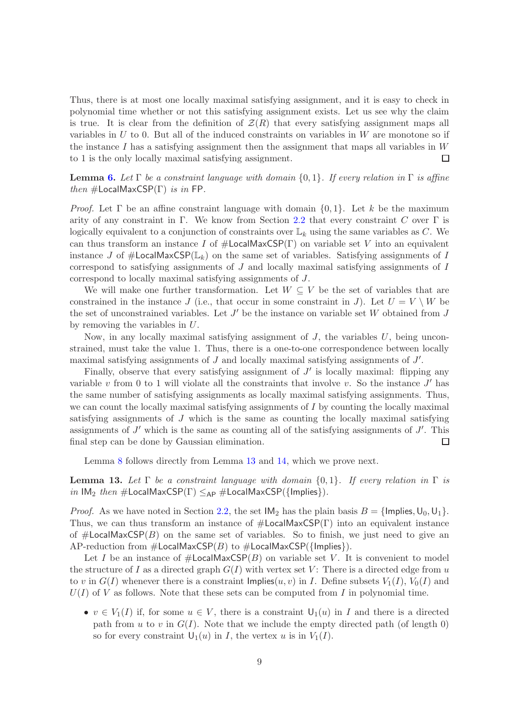Thus, there is at most one locally maximal satisfying assignment, and it is easy to check in polynomial time whether or not this satisfying assignment exists. Let us see why the claim is true. It is clear from the definition of  $\mathcal{Z}(R)$  that every satisfying assignment maps all variables in  $U$  to 0. But all of the induced constraints on variables in  $W$  are monotone so if the instance I has a satisfying assignment then the assignment that maps all variables in  $W$ to 1 is the only locally maximal satisfying assignment.  $\Box$ 

**Lemma [6.](#page-7-1)** Let  $\Gamma$  be a constraint language with domain  $\{0, 1\}$ . If every relation in  $\Gamma$  is affine then  $\#$ LocalMaxCSP(Γ) is in FP.

*Proof.* Let  $\Gamma$  be an affine constraint language with domain  $\{0, 1\}$ . Let k be the maximum arity of any constraint in Γ. We know from Section [2.2](#page-3-2) that every constraint C over Γ is logically equivalent to a conjunction of constraints over  $\mathbb{L}_k$  using the same variables as C. We can thus transform an instance I of  $\#$ LocalMaxCSP(Γ) on variable set V into an equivalent instance J of  $\#$ LocalMaxCSP( $\mathbb{L}_k$ ) on the same set of variables. Satisfying assignments of I correspond to satisfying assignments of J and locally maximal satisfying assignments of I correspond to locally maximal satisfying assignments of J.

We will make one further transformation. Let  $W \subseteq V$  be the set of variables that are constrained in the instance J (i.e., that occur in some constraint in J). Let  $U = V \setminus W$  be the set of unconstrained variables. Let  $J'$  be the instance on variable set W obtained from  $J$ by removing the variables in U.

Now, in any locally maximal satisfying assignment of  $J$ , the variables  $U$ , being unconstrained, must take the value 1. Thus, there is a one-to-one correspondence between locally maximal satisfying assignments of  $J$  and locally maximal satisfying assignments of  $J'$ .

Finally, observe that every satisfying assignment of  $J'$  is locally maximal: flipping any variable v from 0 to 1 will violate all the constraints that involve v. So the instance  $J'$  has the same number of satisfying assignments as locally maximal satisfying assignments. Thus, we can count the locally maximal satisfying assignments of I by counting the locally maximal satisfying assignments of J which is the same as counting the locally maximal satisfying assignments of  $J'$  which is the same as counting all of the satisfying assignments of  $J'$ . This final step can be done by Gaussian elimination. □

Lemma [8](#page-7-3) follows directly from Lemma [13](#page-8-0) and [14,](#page-9-0) which we prove next.

<span id="page-8-0"></span>**Lemma 13.** Let  $\Gamma$  be a constraint language with domain  $\{0, 1\}$ . If every relation in  $\Gamma$  is in IM<sub>2</sub> then  $\#$ LocalMaxCSP( $\Gamma$ )  $\leq_{AP}$   $\#$ LocalMaxCSP({Implies}).

*Proof.* As we have noted in Section [2.2,](#page-3-2) the set  $IM_2$  has the plain basis  $B = \{Implies, U_0, U_1\}.$ Thus, we can thus transform an instance of  $\#$ LocalMaxCSP(Γ) into an equivalent instance of  $\#$ **LocalMaxCSP**(B) on the same set of variables. So to finish, we just need to give an AP-reduction from  $\#$ LocalMaxCSP(B) to  $\#$ LocalMaxCSP({Implies}).

Let I be an instance of  $\#$ LocalMaxCSP $(B)$  on variable set V. It is convenient to model the structure of I as a directed graph  $G(I)$  with vertex set V: There is a directed edge from u to v in  $G(I)$  whenever there is a constraint  $\text{Implies}(u, v)$  in I. Define subsets  $V_1(I), V_0(I)$  and  $U(I)$  of V as follows. Note that these sets can be computed from I in polynomial time.

•  $v \in V_1(I)$  if, for some  $u \in V$ , there is a constraint  $U_1(u)$  in I and there is a directed path from u to v in  $G(I)$ . Note that we include the empty directed path (of length 0) so for every constraint  $U_1(u)$  in I, the vertex u is in  $V_1(I)$ .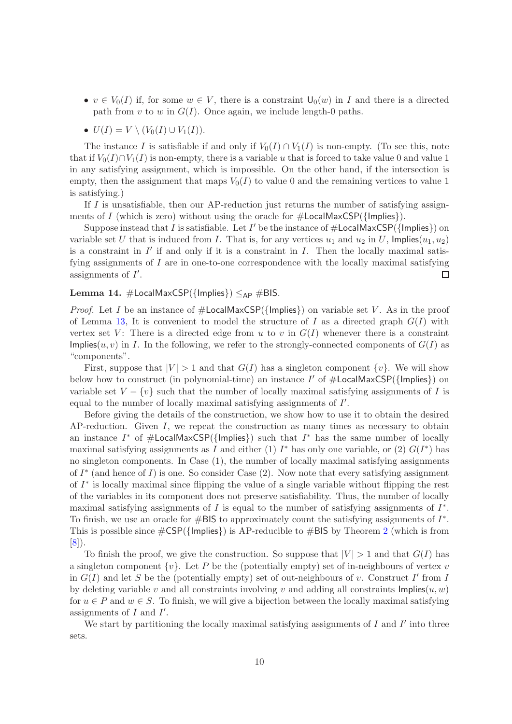- $v \in V_0(I)$  if, for some  $w \in V$ , there is a constraint  $\mathsf{U}_0(w)$  in I and there is a directed path from v to w in  $G(I)$ . Once again, we include length-0 paths.
- $U(I) = V \setminus (V_0(I) \cup V_1(I)).$

The instance I is satisfiable if and only if  $V_0(I) \cap V_1(I)$  is non-empty. (To see this, note that if  $V_0(I) \cap V_1(I)$  is non-empty, there is a variable u that is forced to take value 0 and value 1 in any satisfying assignment, which is impossible. On the other hand, if the intersection is empty, then the assignment that maps  $V_0(I)$  to value 0 and the remaining vertices to value 1 is satisfying.)

If I is unsatisfiable, then our AP-reduction just returns the number of satisfying assignments of I (which is zero) without using the oracle for  $\#$ LocalMaxCSP({Implies}).

Suppose instead that I is satisfiable. Let I' be the instance of  $\#$ LocalMaxCSP({Implies}) on variable set U that is induced from I. That is, for any vertices  $u_1$  and  $u_2$  in U, Implies $(u_1, u_2)$ is a constraint in  $I'$  if and only if it is a constraint in  $I$ . Then the locally maximal satisfying assignments of  $I$  are in one-to-one correspondence with the locally maximal satisfying assignments of  $I'$ .  $\Box$ 

#### <span id="page-9-0"></span>**Lemma 14.**  $\#$ LocalMaxCSP({Implies})  $\leq_{AP}$   $\#$ BIS.

*Proof.* Let I be an instance of  $\#$ LocalMaxCSP({Implies}) on variable set V. As in the proof of Lemma [13,](#page-8-0) It is convenient to model the structure of I as a directed graph  $G(I)$  with vertex set V: There is a directed edge from u to v in  $G(I)$  whenever there is a constraint Implies(u, v) in I. In the following, we refer to the strongly-connected components of  $G(I)$  as "components".

First, suppose that  $|V| > 1$  and that  $G(I)$  has a singleton component  $\{v\}$ . We will show below how to construct (in polynomial-time) an instance I' of  $\#$ LocalMaxCSP({Implies}) on variable set  $V - \{v\}$  such that the number of locally maximal satisfying assignments of I is equal to the number of locally maximal satisfying assignments of  $I'$ .

Before giving the details of the construction, we show how to use it to obtain the desired  $AP-reduction.$  Given I, we repeat the construction as many times as necessary to obtain an instance  $I^*$  of  $\#$ LocalMaxCSP({Implies}) such that  $I^*$  has the same number of locally maximal satisfying assignments as I and either (1)  $I^*$  has only one variable, or (2)  $G(I^*)$  has no singleton components. In Case (1), the number of locally maximal satisfying assignments of  $I^*$  (and hence of I) is one. So consider Case (2). Now note that every satisfying assignment of  $I^*$  is locally maximal since flipping the value of a single variable without flipping the rest of the variables in its component does not preserve satisfiability. Thus, the number of locally maximal satisfying assignments of  $I$  is equal to the number of satisfying assignments of  $I^*$ . To finish, we use an oracle for  $\#$ BIS to approximately count the satisfying assignments of  $I^*$ . This is possible since  $\#\textsf{CSP}(\{\textsf{Implies}\})$  is AP-reducible to  $\#\textsf{BIS}$  by Theorem [2](#page-1-1) (which is from [\[8\]](#page-17-2)).

To finish the proof, we give the construction. So suppose that  $|V| > 1$  and that  $G(I)$  has a singleton component  $\{v\}$ . Let P be the (potentially empty) set of in-neighbours of vertex v in  $G(I)$  and let S be the (potentially empty) set of out-neighbours of v. Construct  $I'$  from I by deleting variable v and all constraints involving v and adding all constraints  $\text{Implies}(u, w)$ for  $u \in P$  and  $w \in S$ . To finish, we will give a bijection between the locally maximal satisfying assignments of  $I$  and  $I'$ .

We start by partitioning the locally maximal satisfying assignments of  $I$  and  $I'$  into three sets.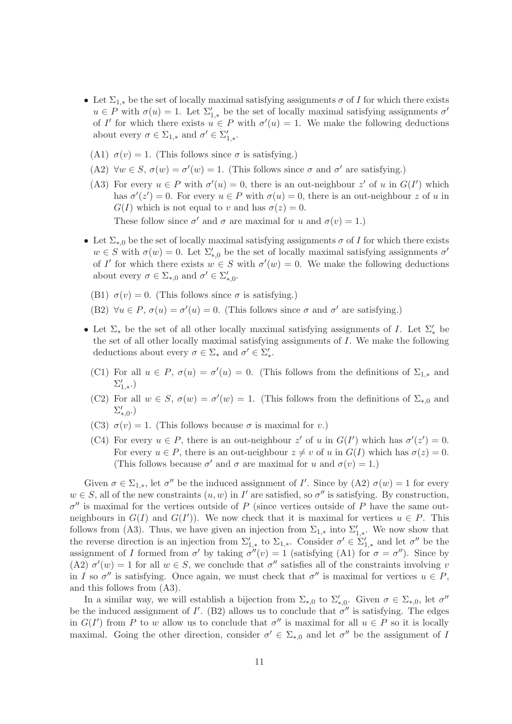- Let  $\Sigma_{1,*}$  be the set of locally maximal satisfying assignments  $\sigma$  of I for which there exists  $u \in P$  with  $\sigma(u) = 1$ . Let  $\Sigma'_{1,*}$  be the set of locally maximal satisfying assignments  $\sigma'$ of I' for which there exists  $u \in P$  with  $\sigma'(u) = 1$ . We make the following deductions about every  $\sigma \in \Sigma_{1,*}$  and  $\sigma' \in \Sigma'_{1,*}$ .
	- (A1)  $\sigma(v) = 1$ . (This follows since  $\sigma$  is satisfying.)
	- (A2)  $\forall w \in S$ ,  $\sigma(w) = \sigma'(w) = 1$ . (This follows since  $\sigma$  and  $\sigma'$  are satisfying.)
	- (A3) For every  $u \in P$  with  $\sigma'(u) = 0$ , there is an out-neighbour z' of u in  $G(I')$  which has  $\sigma'(z') = 0$ . For every  $u \in P$  with  $\sigma(u) = 0$ , there is an out-neighbour z of u in  $G(I)$  which is not equal to v and has  $\sigma(z) = 0$ .

These follow since  $\sigma'$  and  $\sigma$  are maximal for u and  $\sigma(v) = 1$ .)

- Let  $\Sigma_{*,0}$  be the set of locally maximal satisfying assignments  $\sigma$  of I for which there exists  $w \in S$  with  $\sigma(w) = 0$ . Let  $\Sigma'_{*,0}$  be the set of locally maximal satisfying assignments  $\sigma'$ of I' for which there exists  $w \in S$  with  $\sigma'(w) = 0$ . We make the following deductions about every  $\sigma \in \Sigma_{*,0}$  and  $\sigma' \in \Sigma_{*,0}'$ .
	- (B1)  $\sigma(v) = 0$ . (This follows since  $\sigma$  is satisfying.)
	- (B2)  $\forall u \in P$ ,  $\sigma(u) = \sigma'(u) = 0$ . (This follows since  $\sigma$  and  $\sigma'$  are satisfying.)
- Let  $\Sigma_*$  be the set of all other locally maximal satisfying assignments of I. Let  $\Sigma'_*$  be the set of all other locally maximal satisfying assignments of I. We make the following deductions about every  $\sigma \in \Sigma_*$  and  $\sigma' \in \Sigma'_*.$ 
	- (C1) For all  $u \in P$ ,  $\sigma(u) = \sigma'(u) = 0$ . (This follows from the definitions of  $\Sigma_{1,*}$  and  $\Sigma'_{1,*}$ .)
	- (C2) For all  $w \in S$ ,  $\sigma(w) = \sigma'(w) = 1$ . (This follows from the definitions of  $\Sigma_{*,0}$  and  $\Sigma_{*,0}^{\prime}$ .)
- (C3)  $\sigma(v) = 1$ . (This follows because  $\sigma$  is maximal for v.)
- (C4) For every  $u \in P$ , there is an out-neighbour z' of u in  $G(I')$  which has  $\sigma'(z') = 0$ . For every  $u \in P$ , there is an out-neighbour  $z \neq v$  of u in  $G(I)$  which has  $\sigma(z) = 0$ . (This follows because  $\sigma'$  and  $\sigma$  are maximal for u and  $\sigma(v) = 1$ .)

Given  $\sigma \in \Sigma_{1,*}$ , let  $\sigma''$  be the induced assignment of I'. Since by (A2)  $\sigma(w) = 1$  for every  $w \in S$ , all of the new constraints  $(u, w)$  in I' are satisfied, so  $\sigma''$  is satisfying. By construction,  $\sigma''$  is maximal for the vertices outside of P (since vertices outside of P have the same outneighbours in  $G(I)$  and  $G(I')$ ). We now check that it is maximal for vertices  $u \in P$ . This follows from (A3). Thus, we have given an injection from  $\Sigma_{1,*}$  into  $\Sigma'_{1,*}$ . We now show that the reverse direction is an injection from  $\Sigma'_{1,*}$  to  $\Sigma_{1,*}$ . Consider  $\sigma' \in \Sigma'_{1,*}$  and let  $\sigma''$  be the assignment of I formed from  $\sigma'$  by taking  $\sigma''(v) = 1$  (satisfying (A1) for  $\sigma = \sigma''$ ). Since by (A2)  $\sigma'(w) = 1$  for all  $w \in S$ , we conclude that  $\sigma''$  satisfies all of the constraints involving v in I so  $\sigma''$  is satisfying. Once again, we must check that  $\sigma''$  is maximal for vertices  $u \in P$ , and this follows from (A3).

In a similar way, we will establish a bijection from  $\Sigma_{*,0}$  to  $\Sigma'_{*,0}$ . Given  $\sigma \in \Sigma_{*,0}$ , let  $\sigma''$ be the induced assignment of  $I'$ . (B2) allows us to conclude that  $\sigma''$  is satisfying. The edges in  $G(I')$  from P to w allow us to conclude that  $\sigma''$  is maximal for all  $u \in P$  so it is locally maximal. Going the other direction, consider  $\sigma' \in \Sigma_{*,0}$  and let  $\sigma''$  be the assignment of I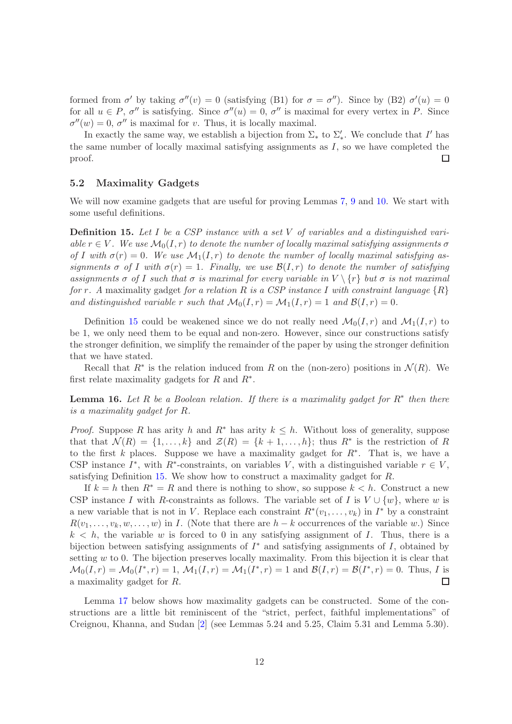formed from  $\sigma'$  by taking  $\sigma''(v) = 0$  (satisfying (B1) for  $\sigma = \sigma''$ ). Since by (B2)  $\sigma'(u) = 0$ for all  $u \in P$ ,  $\sigma''$  is satisfying. Since  $\sigma''(u) = 0$ ,  $\sigma''$  is maximal for every vertex in P. Since  $\sigma''(w) = 0$ ,  $\sigma''$  is maximal for v. Thus, it is locally maximal.

In exactly the same way, we establish a bijection from  $\Sigma_*$  to  $\Sigma'_*$ . We conclude that I' has the same number of locally maximal satisfying assignments as  $I$ , so we have completed the proof.  $\Box$ 

### 5.2 Maximality Gadgets

We will now examine gadgets that are useful for proving Lemmas [7,](#page-7-2) [9](#page-7-4) and [10.](#page-7-5) We start with some useful definitions.

<span id="page-11-0"></span>**Definition 15.** Let  $I$  be a CSP instance with a set  $V$  of variables and a distinguished variable  $r \in V$ . We use  $\mathcal{M}_0(I, r)$  to denote the number of locally maximal satisfying assignments  $\sigma$ of I with  $\sigma(r) = 0$ . We use  $\mathcal{M}_1(I, r)$  to denote the number of locally maximal satisfying assignments  $\sigma$  of I with  $\sigma(r) = 1$ . Finally, we use  $\mathcal{B}(I,r)$  to denote the number of satisfying assignments  $\sigma$  of I such that  $\sigma$  is maximal for every variable in  $V \setminus \{r\}$  but  $\sigma$  is not maximal for r. A maximality gadget for a relation R is a CSP instance I with constraint language  $\{R\}$ and distinguished variable r such that  $\mathcal{M}_0(I,r) = \mathcal{M}_1(I,r) = 1$  and  $\mathcal{B}(I,r) = 0$ .

Definition [15](#page-11-0) could be weakened since we do not really need  $\mathcal{M}_0(I,r)$  and  $\mathcal{M}_1(I,r)$  to be 1, we only need them to be equal and non-zero. However, since our constructions satisfy the stronger definition, we simplify the remainder of the paper by using the stronger definition that we have stated.

Recall that  $R^*$  is the relation induced from R on the (non-zero) positions in  $\mathcal{N}(R)$ . We first relate maximality gadgets for  $R$  and  $R^*$ .

<span id="page-11-1"></span>**Lemma 16.** Let R be a Boolean relation. If there is a maximality gadget for  $R^*$  then there is a maximality gadget for R.

*Proof.* Suppose R has arity h and R<sup>\*</sup> has arity  $k \leq h$ . Without loss of generality, suppose that that  $\mathcal{N}(R) = \{1, \ldots, k\}$  and  $\mathcal{Z}(R) = \{k+1, \ldots, h\}$ ; thus  $R^*$  is the restriction of R to the first k places. Suppose we have a maximality gadget for  $R^*$ . That is, we have a CSP instance  $I^*$ , with  $R^*$ -constraints, on variables V, with a distinguished variable  $r \in V$ , satisfying Definition [15.](#page-11-0) We show how to construct a maximality gadget for R.

If  $k = h$  then  $R^* = R$  and there is nothing to show, so suppose  $k < h$ . Construct a new CSP instance I with R-constraints as follows. The variable set of I is  $V \cup \{w\}$ , where w is a new variable that is not in V. Replace each constraint  $R^*(v_1,\ldots,v_k)$  in  $I^*$  by a constraint  $R(v_1, \ldots, v_k, w, \ldots, w)$  in I. (Note that there are  $h - k$  occurrences of the variable w.) Since  $k < h$ , the variable w is forced to 0 in any satisfying assignment of I. Thus, there is a bijection between satisfying assignments of  $I^*$  and satisfying assignments of  $I$ , obtained by setting w to 0. The bijection preserves locally maximality. From this bijection it is clear that  $\mathcal{M}_0(I,r) = \mathcal{M}_0(I^*,r) = 1, \ \mathcal{M}_1(I,r) = \mathcal{M}_1(I^*,r) = 1$  and  $\mathcal{B}(I,r) = \mathcal{B}(I^*,r) = 0$ . Thus, I is a maximality gadget for R.  $\Box$ 

Lemma [17](#page-12-0) below shows how maximality gadgets can be constructed. Some of the constructions are a little bit reminiscent of the "strict, perfect, faithful implementations" of Creignou, Khanna, and Sudan [\[2\]](#page-17-14) (see Lemmas 5.24 and 5.25, Claim 5.31 and Lemma 5.30).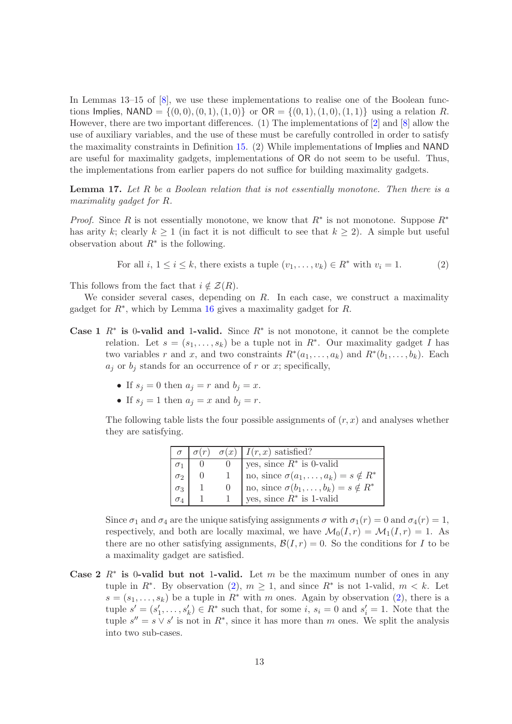In Lemmas 13–15 of [\[8\]](#page-17-2), we use these implementations to realise one of the Boolean functions Implies,  $NAND = \{(0, 0), (0, 1), (1, 0)\}$  or  $OR = \{(0, 1), (1, 0), (1, 1)\}$  using a relation R. However, there are two important differences. (1) The implementations of [\[2\]](#page-17-14) and [\[8\]](#page-17-2) allow the use of auxiliary variables, and the use of these must be carefully controlled in order to satisfy the maximality constraints in Definition [15.](#page-11-0) (2) While implementations of Implies and NAND are useful for maximality gadgets, implementations of OR do not seem to be useful. Thus, the implementations from earlier papers do not suffice for building maximality gadgets.

<span id="page-12-0"></span>**Lemma 17.** Let R be a Boolean relation that is not essentially monotone. Then there is a maximality gadget for R.

*Proof.* Since R is not essentially monotone, we know that  $R^*$  is not monotone. Suppose  $R^*$ has arity k; clearly  $k \geq 1$  (in fact it is not difficult to see that  $k \geq 2$ ). A simple but useful observation about  $R^*$  is the following.

<span id="page-12-1"></span>For all 
$$
i, 1 \le i \le k
$$
, there exists a tuple  $(v_1, \ldots, v_k) \in R^*$  with  $v_i = 1$ . (2)

This follows from the fact that  $i \notin \mathcal{Z}(R)$ .

We consider several cases, depending on  $R$ . In each case, we construct a maximality gadget for  $R^*$ , which by Lemma [16](#page-11-1) gives a maximality gadget for  $R$ .

- Case 1  $R^*$  is 0-valid and 1-valid. Since  $R^*$  is not monotone, it cannot be the complete relation. Let  $s = (s_1, \ldots, s_k)$  be a tuple not in  $R^*$ . Our maximality gadget I has two variables r and x, and two constraints  $R^*(a_1, \ldots, a_k)$  and  $R^*(b_1, \ldots, b_k)$ . Each  $a_j$  or  $b_j$  stands for an occurrence of r or x; specifically,
	- If  $s_j = 0$  then  $a_j = r$  and  $b_j = x$ .
	- If  $s_i = 1$  then  $a_i = x$  and  $b_i = r$ .

The following table lists the four possible assignments of  $(r, x)$  and analyses whether they are satisfying.

|            | $\sigma(r)$ | $\sigma(x)$ I(r, x) satisfied?                  |
|------------|-------------|-------------------------------------------------|
|            |             | yes, since $R^*$ is 0-valid                     |
| $\sigma_2$ |             | no, since $\sigma(a_1,\ldots,a_k)=s \notin R^*$ |
| $\sigma_3$ |             | no, since $\sigma(b_1,\ldots,b_k)=s \notin R^*$ |
| $\sigma_4$ |             | yes, since $R^*$ is 1-valid                     |

Since  $\sigma_1$  and  $\sigma_4$  are the unique satisfying assignments  $\sigma$  with  $\sigma_1(r) = 0$  and  $\sigma_4(r) = 1$ , respectively, and both are locally maximal, we have  $\mathcal{M}_0(I, r) = \mathcal{M}_1(I, r) = 1$ . As there are no other satisfying assignments,  $\mathcal{B}(I,r) = 0$ . So the conditions for I to be a maximality gadget are satisfied.

Case 2  $R^*$  is 0-valid but not 1-valid. Let m be the maximum number of ones in any tuple in  $R^*$ . By observation [\(2\)](#page-12-1),  $m \geq 1$ , and since  $R^*$  is not 1-valid,  $m < k$ . Let  $s = (s_1, \ldots, s_k)$  be a tuple in  $R^*$  with m ones. Again by observation [\(2\)](#page-12-1), there is a tuple  $s' = (s'_1, \ldots, s'_k) \in R^*$  such that, for some i,  $s_i = 0$  and  $s'_i = 1$ . Note that the tuple  $s'' = s \vee s'$  is not in  $R^*$ , since it has more than m ones. We split the analysis into two sub-cases.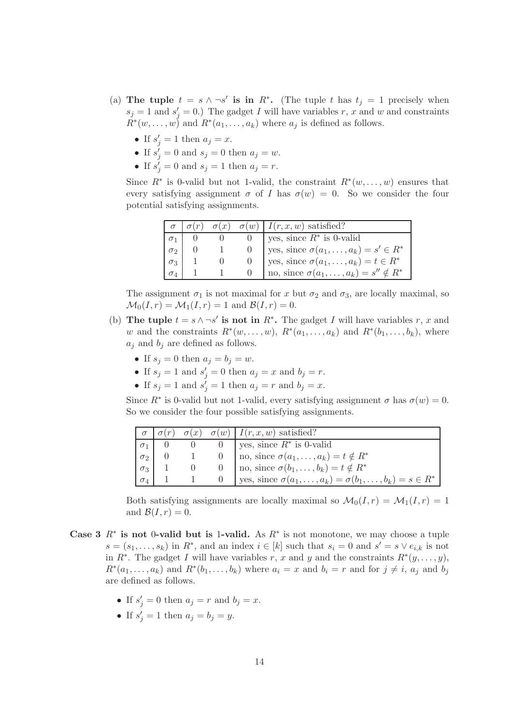- (a) The tuple  $t = s \wedge \neg s'$  is in  $R^*$ . (The tuple t has  $t_j = 1$  precisely when  $s_j = 1$  and  $s'_j = 0$ .) The gadget I will have variables r, x and w and constraints  $R^*(w, \ldots, w)$  and  $R^*(a_1, \ldots, a_k)$  where  $a_j$  is defined as follows.
	- If  $s'_j = 1$  then  $a_j = x$ .
	- If  $s'_j = 0$  and  $s_j = 0$  then  $a_j = w$ .
	- If  $s'_j = 0$  and  $s_j = 1$  then  $a_j = r$ .

Since  $R^*$  is 0-valid but not 1-valid, the constraint  $R^*(w,\ldots,w)$  ensures that every satisfying assignment  $\sigma$  of I has  $\sigma(w) = 0$ . So we consider the four potential satisfying assignments.

|            |  | $\sigma(x)$ $\sigma(w)$ $I(r, x, w)$ satisfied?  |
|------------|--|--------------------------------------------------|
|            |  | yes, since $R^*$ is 0-valid                      |
| $\sigma_2$ |  | yes, since $\sigma(a_1,\ldots,a_k)=s'\in R^*$    |
| $\sigma_3$ |  | yes, since $\sigma(a_1,\ldots,a_k) = t \in R^*$  |
| $\sigma_4$ |  | no, since $\sigma(a_1,\ldots,a_k)=s''\notin R^*$ |

The assignment  $\sigma_1$  is not maximal for x but  $\sigma_2$  and  $\sigma_3$ , are locally maximal, so  $\mathcal{M}_0(I,r) = \mathcal{M}_1(I,r) = 1$  and  $\mathcal{B}(I,r) = 0$ .

- (b) The tuple  $t = s \wedge \neg s'$  is not in  $R^*$ . The gadget I will have variables r, x and w and the constraints  $R^*(w, \ldots, w)$ ,  $R^*(a_1, \ldots, a_k)$  and  $R^*(b_1, \ldots, b_k)$ , where  $a_i$  and  $b_i$  are defined as follows.
	- If  $s_j = 0$  then  $a_j = b_j = w$ .
	- If  $s_j = 1$  and  $s'_j = 0$  then  $a_j = x$  and  $b_j = r$ .
	- If  $s_j = 1$  and  $s'_j = 1$  then  $a_j = r$  and  $b_j = x$ .

Since  $R^*$  is 0-valid but not 1-valid, every satisfying assignment  $\sigma$  has  $\sigma(w) = 0$ . So we consider the four possible satisfying assignments.

|            |  | $\sigma(x)$ $\sigma(w)$   $I(r, x, w)$ satisfied?                   |
|------------|--|---------------------------------------------------------------------|
|            |  | 0 yes, since $R^*$ is 0-valid                                       |
| $\sigma_2$ |  | 0   no, since $\sigma(a_1,\ldots,a_k)=t\notin R^*$                  |
| $\sigma_3$ |  | 0   no, since $\sigma(b_1,\ldots,b_k) = t \notin R^*$               |
| $\sigma_4$ |  | ges, since $\sigma(a_1,\ldots,a_k)=\sigma(b_1,\ldots,b_k)=s\in R^*$ |

Both satisfying assignments are locally maximal so  $\mathcal{M}_0(I,r) = \mathcal{M}_1(I,r) = 1$ and  $\mathcal{B}(I,r)=0$ .

- Case 3  $R^*$  is not 0-valid but is 1-valid. As  $R^*$  is not monotone, we may choose a tuple  $s = (s_1, \ldots, s_k)$  in  $R^*$ , and an index  $i \in [k]$  such that  $s_i = 0$  and  $s' = s \vee e_{i,k}$  is not in  $R^*$ . The gadget I will have variables r, x and y and the constraints  $R^*(y, \ldots, y)$ ,  $R^*(a_1,\ldots,a_k)$  and  $R^*(b_1,\ldots,b_k)$  where  $a_i = x$  and  $b_i = r$  and for  $j \neq i$ ,  $a_j$  and  $b_j$ are defined as follows.
	- If  $s'_j = 0$  then  $a_j = r$  and  $b_j = x$ .
	- If  $s'_j = 1$  then  $a_j = b_j = y$ .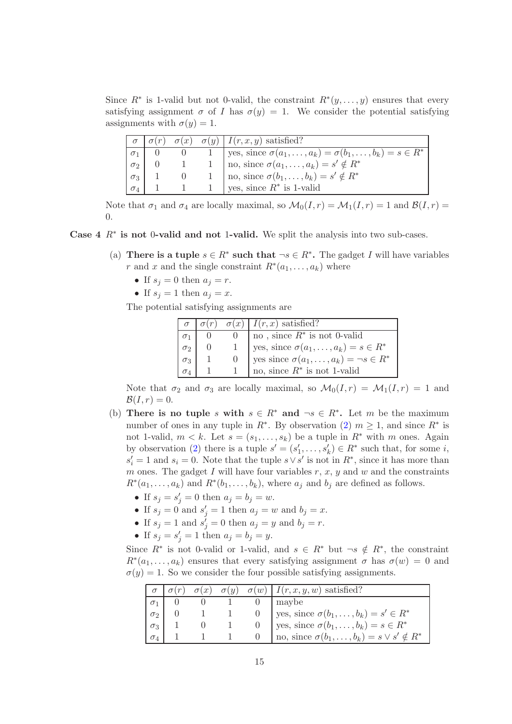Since  $R^*$  is 1-valid but not 0-valid, the constraint  $R^*(y, \ldots, y)$  ensures that every satisfying assignment  $\sigma$  of I has  $\sigma(y) = 1$ . We consider the potential satisfying assignments with  $\sigma(y) = 1$ .

|            |  | $\sigma(r)$ $\sigma(x)$ $\sigma(y)$ $I(r, x, y)$ satisfied?                  |
|------------|--|------------------------------------------------------------------------------|
| $\sigma_1$ |  | 1   yes, since $\sigma(a_1,\ldots,a_k) = \sigma(b_1,\ldots,b_k) = s \in R^*$ |
| $\sigma_2$ |  | 1   no, since $\sigma(a_1,\ldots,a_k)=s'\notin R^*$                          |
| $\sigma_3$ |  | 1   no, since $\sigma(b_1,\ldots,b_k)=s'\notin R^*$                          |
| $\sigma_4$ |  | 1 yes, since $R^*$ is 1-valid                                                |

Note that  $\sigma_1$  and  $\sigma_4$  are locally maximal, so  $\mathcal{M}_0(I,r) = \mathcal{M}_1(I,r) = 1$  and  $\mathcal{B}(I,r) =$ 0.

Case  $4 \, R^*$  is not 0-valid and not 1-valid. We split the analysis into two sub-cases.

- (a) There is a tuple  $s \in R^*$  such that  $\neg s \in R^*$ . The gadget I will have variables r and x and the single constraint  $R^*(a_1, \ldots, a_k)$  where
	- If  $s_j = 0$  then  $a_j = r$ .
	- If  $s_j = 1$  then  $a_j = x$ .

The potential satisfying assignments are

|            |  | $\sigma \mid \sigma(r) \mid \sigma(x) \mid I(r, x)$ satisfied? |
|------------|--|----------------------------------------------------------------|
|            |  | no, since $R^*$ is not 0-valid                                 |
| $\sigma_2$ |  | yes, since $\sigma(a_1,\ldots,a_k) = s \in R^*$                |
| $\sigma_3$ |  | yes since $\sigma(a_1,\ldots,a_k) = \neg s \in R^*$            |
|            |  | no, since $R^*$ is not 1-valid                                 |

Note that  $\sigma_2$  and  $\sigma_3$  are locally maximal, so  $\mathcal{M}_0(I,r) = \mathcal{M}_1(I,r) = 1$  and  $\mathcal{B}(I,r)=0.$ 

- (b) There is no tuple s with  $s \in R^*$  and  $\neg s \in R^*$ . Let m be the maximum number of ones in any tuple in  $R^*$ . By observation [\(2\)](#page-12-1)  $m \geq 1$ , and since  $R^*$  is not 1-valid,  $m < k$ . Let  $s = (s_1, \ldots, s_k)$  be a tuple in  $R^*$  with m ones. Again by observation [\(2\)](#page-12-1) there is a tuple  $s' = (s'_1, \ldots, s'_k) \in R^*$  such that, for some *i*,  $s_i' = 1$  and  $s_i = 0$ . Note that the tuple  $s \vee s'$  is not in  $R^*$ , since it has more than m ones. The gadget  $I$  will have four variables  $r, x, y$  and  $w$  and the constraints  $R^*(a_1, \ldots, a_k)$  and  $R^*(b_1, \ldots, b_k)$ , where  $a_j$  and  $b_j$  are defined as follows.
	- If  $s_j = s'_j = 0$  then  $a_j = b_j = w$ .
	- If  $s_j = 0$  and  $s'_j = 1$  then  $a_j = w$  and  $b_j = x$ .
	- If  $s_j = 1$  and  $s'_j = 0$  then  $a_j = y$  and  $b_j = r$ .
	- If  $s_j = s'_j = 1$  then  $a_j = b_j = y$ .

Since  $R^*$  is not 0-valid or 1-valid, and  $s \in R^*$  but  $\neg s \notin R^*$ , the constraint  $R^*(a_1,\ldots,a_k)$  ensures that every satisfying assignment  $\sigma$  has  $\sigma(w) = 0$  and  $\sigma(y) = 1$ . So we consider the four possible satisfying assignments.

|            | $\sigma(x)$ |  | $\sigma(y)$ $\sigma(w)$   $I(r, x, y, w)$ satisfied?      |
|------------|-------------|--|-----------------------------------------------------------|
|            |             |  | maybe                                                     |
| $\sigma_2$ |             |  | yes, since $\sigma(b_1,\ldots,b_k)=s'\in R^*$             |
| $\sigma_3$ |             |  | yes, since $\sigma(b_1,\ldots,b_k) = s \in R^*$           |
| $\sigma_4$ |             |  | no, since $\sigma(b_1,\ldots,b_k) = s \vee s' \notin R^*$ |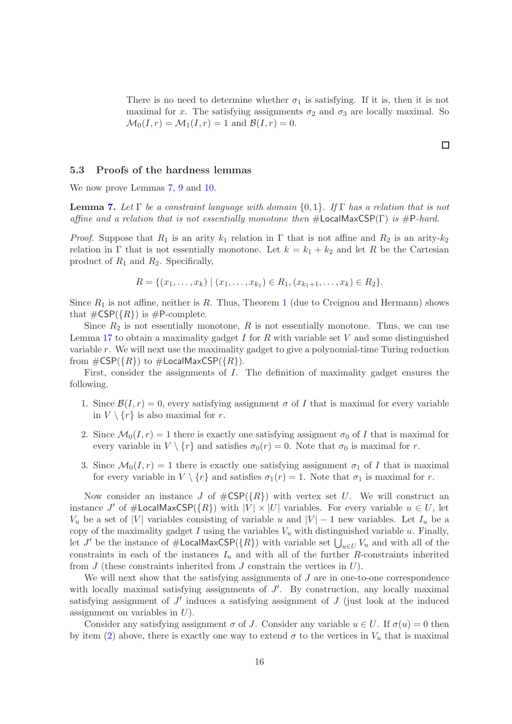There is no need to determine whether  $\sigma_1$  is satisfying. If it is, then it is not maximal for x. The satisfying assignments  $\sigma_2$  and  $\sigma_3$  are locally maximal. So  $\mathcal{M}_0(I,r) = \mathcal{M}_1(I,r) = 1$  and  $\mathcal{B}(I,r) = 0$ .

### 5.3 Proofs of the hardness lemmas

We now prove Lemmas [7,](#page-7-2) [9](#page-7-4) and [10.](#page-7-5)

**Lemma [7.](#page-7-2)** Let  $\Gamma$  be a constraint language with domain  $\{0, 1\}$ . If  $\Gamma$  has a relation that is not affine and a relation that is not essentially monotone then  $\#$ **LocalMaxCSP(Γ)** is  $\#$ **P**-hard.

*Proof.* Suppose that  $R_1$  is an arity  $k_1$  relation in  $\Gamma$  that is not affine and  $R_2$  is an arity- $k_2$ relation in Γ that is not essentially monotone. Let  $k = k_1 + k_2$  and let R be the Cartesian product of  $R_1$  and  $R_2$ . Specifically,

$$
R = \{(x_1, \ldots, x_k) \mid (x_1, \ldots, x_{k_1}) \in R_1, (x_{k_1+1}, \ldots, x_k) \in R_2\}.
$$

Since  $R_1$  $R_1$  is not affine, neither is R. Thus, Theorem 1 (due to Creignou and Hermann) shows that  $\#\text{CSP}(\{R\})$  is  $\#\text{P-complete.}$ 

Since  $R_2$  is not essentially monotone,  $R$  is not essentially monotone. Thus, we can use Lemma [17](#page-12-0) to obtain a maximality gadget  $I$  for  $R$  with variable set  $V$  and some distinguished variable r. We will next use the maximality gadget to give a polynomial-time Turing reduction from  $\#\textsf{CSP}(\{R\})$  to  $\#\textsf{LocalMaxCSP}(\{R\})$ .

First, consider the assignments of I. The definition of maximality gadget ensures the following.

- 1. Since  $\mathcal{B}(I,r) = 0$ , every satisfying assignment  $\sigma$  of I that is maximal for every variable in  $V \setminus \{r\}$  is also maximal for r.
- <span id="page-15-0"></span>2. Since  $\mathcal{M}_0(I,r) = 1$  there is exactly one satisfying assigment  $\sigma_0$  of I that is maximal for every variable in  $V \setminus \{r\}$  and satisfies  $\sigma_0(r) = 0$ . Note that  $\sigma_0$  is maximal for r.
- <span id="page-15-1"></span>3. Since  $\mathcal{M}_0(I,r) = 1$  there is exactly one satisfying assignment  $\sigma_1$  of I that is maximal for every variable in  $V \setminus \{r\}$  and satisfies  $\sigma_1(r) = 1$ . Note that  $\sigma_1$  is maximal for r.

Now consider an instance J of  $\#\text{CSP}(\lbrace R \rbrace)$  with vertex set U. We will construct an instance J' of  $\#$ LocalMaxCSP( $\{R\}$ ) with  $|V| \times |U|$  variables. For every variable  $u \in U$ , let  $V_u$  be a set of |V| variables consisting of variable u and  $|V| - 1$  new variables. Let  $I_u$  be a copy of the maximality gadget I using the variables  $V_u$  with distinguished variable u. Finally, let  $J'$  be the instance of  $\#$ **LocalMaxCSP**( $\{R\}$ ) with variable set  $\bigcup_{u\in U}V_u$  and with all of the constraints in each of the instances  $I_u$  and with all of the further R-constraints inherited from  $J$  (these constraints inherited from  $J$  constrain the vertices in  $U$ ).

We will next show that the satisfying assignments of  $J$  are in one-to-one correspondence with locally maximal satisfying assignments of  $J'$ . By construction, any locally maximal satisfying assignment of  $J'$  induces a satisfying assignment of  $J$  (just look at the induced assignment on variables in  $U$ ).

Consider any satisfying assignment  $\sigma$  of J. Consider any variable  $u \in U$ . If  $\sigma(u) = 0$  then by item [\(2\)](#page-15-0) above, there is exactly one way to extend  $\sigma$  to the vertices in  $V_u$  that is maximal

 $\Box$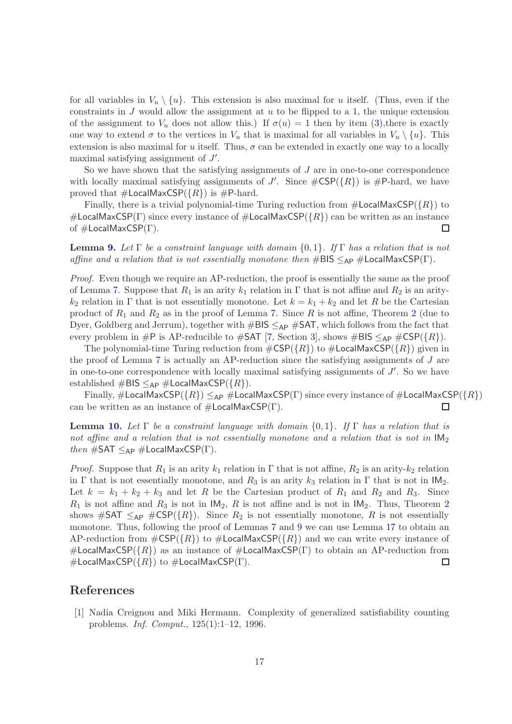for all variables in  $V_u \setminus \{u\}$ . This extension is also maximal for u itself. (Thus, even if the constraints in  $J$  would allow the assignment at  $u$  to be flipped to a 1, the unique extension of the assignment to  $V_u$  does not allow this.) If  $\sigma(u) = 1$  then by item [\(3\)](#page-15-1), there is exactly one way to extend  $\sigma$  to the vertices in  $V_u$  that is maximal for all variables in  $V_u \setminus \{u\}$ . This extension is also maximal for u itself. Thus,  $\sigma$  can be extended in exactly one way to a locally maximal satisfying assignment of  $J'$ .

So we have shown that the satisfying assignments of  $J$  are in one-to-one correspondence with locally maximal satisfying assignments of J'. Since  $\#\text{CSP}(\lbrace R \rbrace)$  is  $\#\text{P-hard}$ , we have proved that  $\#$ **LocalMaxCSP**( $\{R\}$ ) is  $\#$ **P**-hard.

Finally, there is a trivial polynomial-time Turing reduction from  $\#$ LocalMaxCSP( $\{R\}$ ) to #LocalMaxCSP(Γ) since every instance of  $\#$ LocalMaxCSP( $\{R\}$ ) can be written as an instance of  $\#$ LocalMaxCSP(Γ). □

**Lemma [9.](#page-7-4)** Let  $\Gamma$  be a constraint language with domain  $\{0,1\}$ . If  $\Gamma$  has a relation that is not affine and a relation that is not essentially monotone then  $\#BIS \leq_{AP} \# LocalMaxCSP(\Gamma)$ .

Proof. Even though we require an AP-reduction, the proof is essentially the same as the proof of Lemma [7.](#page-7-2) Suppose that  $R_1$  is an arity  $k_1$  relation in  $\Gamma$  that is not affine and  $R_2$  is an arity $k_2$  relation in Γ that is not essentially monotone. Let  $k = k_1 + k_2$  and let R be the Cartesian product of  $R_1$  and  $R_2$  $R_2$  as in the proof of Lemma [7.](#page-7-2) Since R is not affine, Theorem 2 (due to Dyer, Goldberg and Jerrum), together with  $\#BIS \leq_{AP} \#SAT$ , which follows from the fact that every problem in #P is AP-reducible to #SAT [\[7,](#page-17-1) Section 3], shows #BIS  $\leq_{AP}$  #CSP({R}).

The polynomial-time Turing reduction from  $\#\text{CSP}(\lbrace R \rbrace)$  to  $\#\text{LocalMaxCSP}(\lbrace R \rbrace)$  given in the proof of Lemma [7](#page-7-2) is actually an AP-reduction since the satisfying assignments of  $J$  are in one-to-one correspondence with locally maximal satisfying assignments of  $J'$ . So we have established  $\#BIS \leq_{AP} \#LocalMaxCSP({R}).$ 

Finally,  $\#$ LocalMaxCSP( $\{R\}$ )  $\leq_{AP}$   $\#$ LocalMaxCSP( $\Gamma$ ) since every instance of  $\#$ LocalMaxCSP( $\{R\}$ ) can be written as an instance of  $\#$ **LocalMaxCSP(Γ).** П

**Lemma [10.](#page-7-5)** Let  $\Gamma$  be a constraint language with domain  $\{0, 1\}$ . If  $\Gamma$  has a relation that is not affine and a relation that is not essentially monotone and a relation that is not in  $IM_2$ then  $\#SAT \leq_{AP} \#LocalMaxCSP(\Gamma)$ .

*Proof.* Suppose that  $R_1$  is an arity  $k_1$  relation in  $\Gamma$  that is not affine,  $R_2$  is an arity- $k_2$  relation in Γ that is not essentially monotone, and  $R_3$  is an arity  $k_3$  relation in Γ that is not in  $IM_2$ . Let  $k = k_1 + k_2 + k_3$  and let R be the Cartesian product of  $R_1$  and  $R_2$  and  $R_3$ . Since  $R_1$  is not affine and  $R_3$  is not in  $IM_2$  $IM_2$ , R is not affine and is not in  $IM_2$ . Thus, Theorem 2 shows #SAT  $\leq_{AP}$  #CSP({R}). Since  $R_2$  is not essentially monotone, R is not essentially monotone. Thus, following the proof of Lemmas [7](#page-7-2) and [9](#page-7-4) we can use Lemma [17](#page-12-0) to obtain an AP-reduction from  $\#\text{CSP}(\lbrace R \rbrace)$  to  $\#\text{LocalMaxCSP}(\lbrace R \rbrace)$  and we can write every instance of #LocalMaxCSP( $\{R\}$ ) as an instance of #LocalMaxCSP( $\Gamma$ ) to obtain an AP-reduction from #LocalMaxCSP( $\{R\}$ ) to #LocalMaxCSP(Γ). 口

### <span id="page-16-0"></span>References

[1] Nadia Creignou and Miki Hermann. Complexity of generalized satisfiability counting problems. Inf. Comput., 125(1):1–12, 1996.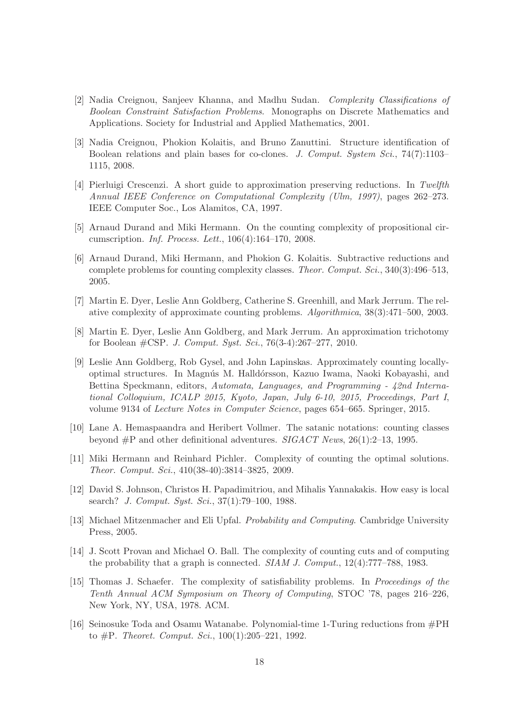- <span id="page-17-14"></span>[2] Nadia Creignou, Sanjeev Khanna, and Madhu Sudan. Complexity Classifications of Boolean Constraint Satisfaction Problems. Monographs on Discrete Mathematics and Applications. Society for Industrial and Applied Mathematics, 2001.
- <span id="page-17-4"></span>[3] Nadia Creignou, Phokion Kolaitis, and Bruno Zanuttini. Structure identification of Boolean relations and plain bases for co-clones. J. Comput. System Sci., 74(7):1103– 1115, 2008.
- <span id="page-17-6"></span>[4] Pierluigi Crescenzi. A short guide to approximation preserving reductions. In Twelfth Annual IEEE Conference on Computational Complexity (Ulm, 1997), pages 262–273. IEEE Computer Soc., Los Alamitos, CA, 1997.
- <span id="page-17-10"></span><span id="page-17-8"></span>[5] Arnaud Durand and Miki Hermann. On the counting complexity of propositional circumscription. Inf. Process. Lett., 106(4):164–170, 2008.
- [6] Arnaud Durand, Miki Hermann, and Phokion G. Kolaitis. Subtractive reductions and complete problems for counting complexity classes. Theor. Comput. Sci., 340(3):496–513, 2005.
- <span id="page-17-2"></span><span id="page-17-1"></span>[7] Martin E. Dyer, Leslie Ann Goldberg, Catherine S. Greenhill, and Mark Jerrum. The relative complexity of approximate counting problems. Algorithmica, 38(3):471–500, 2003.
- <span id="page-17-3"></span>[8] Martin E. Dyer, Leslie Ann Goldberg, and Mark Jerrum. An approximation trichotomy for Boolean #CSP. J. Comput. Syst. Sci., 76(3-4):267–277, 2010.
- [9] Leslie Ann Goldberg, Rob Gysel, and John Lapinskas. Approximately counting locallyoptimal structures. In Magnús M. Halldórsson, Kazuo Iwama, Naoki Kobayashi, and Bettina Speckmann, editors, Automata, Languages, and Programming - 42nd International Colloquium, ICALP 2015, Kyoto, Japan, July 6-10, 2015, Proceedings, Part I, volume 9134 of Lecture Notes in Computer Science, pages 654–665. Springer, 2015.
- <span id="page-17-9"></span>[10] Lane A. Hemaspaandra and Heribert Vollmer. The satanic notations: counting classes beyond  $\#P$  and other definitional adventures. SIGACT News, 26(1):2–13, 1995.
- <span id="page-17-13"></span>[11] Miki Hermann and Reinhard Pichler. Complexity of counting the optimal solutions. Theor. Comput. Sci., 410(38-40):3814–3825, 2009.
- <span id="page-17-7"></span>[12] David S. Johnson, Christos H. Papadimitriou, and Mihalis Yannakakis. How easy is local search? J. Comput. Syst. Sci., 37(1):79–100, 1988.
- <span id="page-17-12"></span><span id="page-17-5"></span>[13] Michael Mitzenmacher and Eli Upfal. Probability and Computing. Cambridge University Press, 2005.
- [14] J. Scott Provan and Michael O. Ball. The complexity of counting cuts and of computing the probability that a graph is connected. SIAM J. Comput., 12(4):777–788, 1983.
- <span id="page-17-0"></span>[15] Thomas J. Schaefer. The complexity of satisfiability problems. In Proceedings of the Tenth Annual ACM Symposium on Theory of Computing, STOC '78, pages 216–226, New York, NY, USA, 1978. ACM.
- <span id="page-17-11"></span>[16] Seinosuke Toda and Osamu Watanabe. Polynomial-time 1-Turing reductions from #PH to  $\#P$ . Theoret. Comput. Sci., 100(1):205–221, 1992.